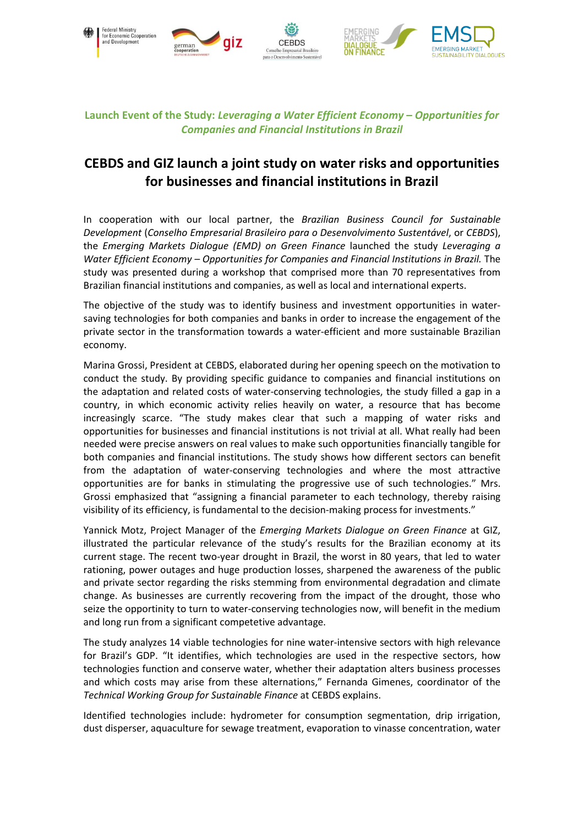

## **Launch Event of the Study:** *Leveraging a Water Efficient Economy – Opportunities for Companies and Financial Institutions in Brazil*

## **CEBDS and GIZ launch a joint study on water risks and opportunities for businesses and financial institutions in Brazil**

In cooperation with our local partner, the *Brazilian Business Council for Sustainable Development* (*Conselho Empresarial Brasileiro para o Desenvolvimento Sustentável*, or *CEBDS*), the *Emerging Markets Dialogue (EMD) on Green Finance* launched the study *Leveraging a Water Efficient Economy – Opportunities for Companies and Financial Institutions in Brazil.* The study was presented during a workshop that comprised more than 70 representatives from Brazilian financial institutions and companies, as well as local and international experts.

The objective of the study was to identify business and investment opportunities in watersaving technologies for both companies and banks in order to increase the engagement of the private sector in the transformation towards a water-efficient and more sustainable Brazilian economy.

Marina Grossi, President at CEBDS, elaborated during her opening speech on the motivation to conduct the study. By providing specific guidance to companies and financial institutions on the adaptation and related costs of water-conserving technologies, the study filled a gap in a country, in which economic activity relies heavily on water, a resource that has become increasingly scarce. "The study makes clear that such a mapping of water risks and opportunities for businesses and financial institutions is not trivial at all. What really had been needed were precise answers on real values to make such opportunities financially tangible for both companies and financial institutions. The study shows how different sectors can benefit from the adaptation of water-conserving technologies and where the most attractive opportunities are for banks in stimulating the progressive use of such technologies." Mrs. Grossi emphasized that "assigning a financial parameter to each technology, thereby raising visibility of its efficiency, is fundamental to the decision-making process for investments."

Yannick Motz, Project Manager of the *Emerging Markets Dialogue on Green Finance* at GIZ, illustrated the particular relevance of the study's results for the Brazilian economy at its current stage. The recent two-year drought in Brazil, the worst in 80 years, that led to water rationing, power outages and huge production losses, sharpened the awareness of the public and private sector regarding the risks stemming from environmental degradation and climate change. As businesses are currently recovering from the impact of the drought, those who seize the opportinity to turn to water-conserving technologies now, will benefit in the medium and long run from a significant competetive advantage.

The study analyzes 14 viable technologies for nine water-intensive sectors with high relevance for Brazil's GDP. "It identifies, which technologies are used in the respective sectors, how technologies function and conserve water, whether their adaptation alters business processes and which costs may arise from these alternations," Fernanda Gimenes, coordinator of the *Technical Working Group for Sustainable Finance* at CEBDS explains.

Identified technologies include: hydrometer for consumption segmentation, drip irrigation, dust disperser, aquaculture for sewage treatment, evaporation to vinasse concentration, water